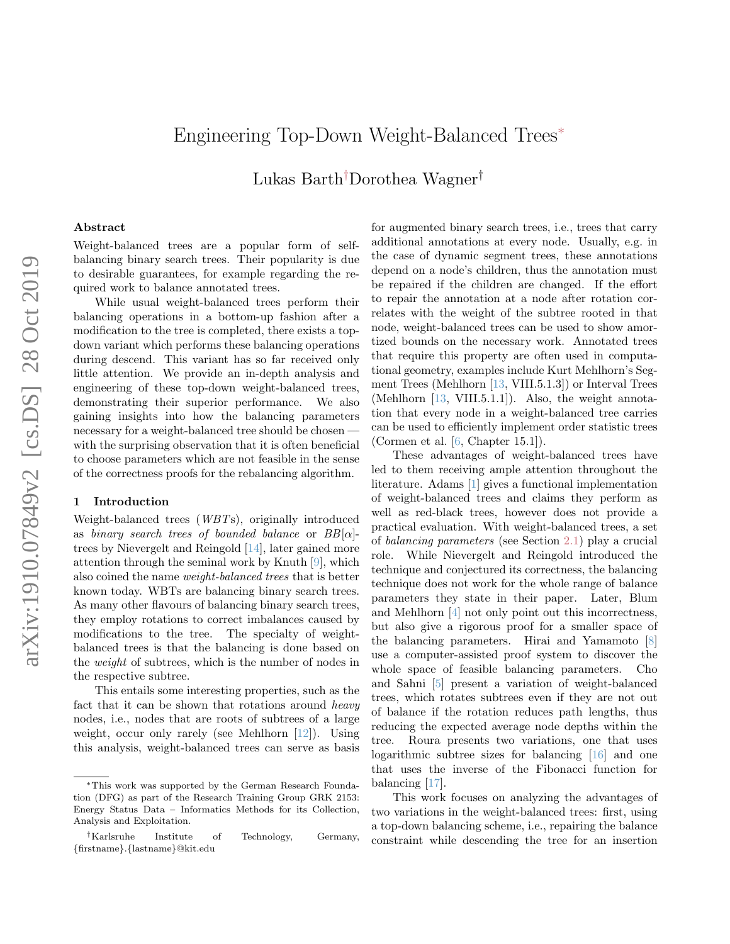# Engineering Top-Down Weight-Balanced Trees<sup>∗</sup>

Lukas Barth†Dorothea Wagner†

# Abstract

Weight-balanced trees are a popular form of selfbalancing binary search trees. Their popularity is due to desirable guarantees, for example regarding the required work to balance annotated trees.

While usual weight-balanced trees perform their balancing operations in a bottom-up fashion after a modification to the tree is completed, there exists a topdown variant which performs these balancing operations during descend. This variant has so far received only little attention. We provide an in-depth analysis and engineering of these top-down weight-balanced trees, demonstrating their superior performance. We also gaining insights into how the balancing parameters necessary for a weight-balanced tree should be chosen with the surprising observation that it is often beneficial to choose parameters which are not feasible in the sense of the correctness proofs for the rebalancing algorithm.

#### <span id="page-0-0"></span>1 Introduction

Weight-balanced trees (WBTs), originally introduced as binary search trees of bounded balance or  $BB[\alpha]$ trees by Nievergelt and Reingold [\[14\]](#page-10-0), later gained more attention through the seminal work by Knuth [\[9\]](#page-10-1), which also coined the name weight-balanced trees that is better known today. WBTs are balancing binary search trees. As many other flavours of balancing binary search trees, they employ rotations to correct imbalances caused by modifications to the tree. The specialty of weightbalanced trees is that the balancing is done based on the weight of subtrees, which is the number of nodes in the respective subtree.

This entails some interesting properties, such as the fact that it can be shown that rotations around *heavy* nodes, i.e., nodes that are roots of subtrees of a large weight, occur only rarely (see Mehlhorn [\[12\]](#page-10-2)). Using this analysis, weight-balanced trees can serve as basis

for augmented binary search trees, i.e., trees that carry additional annotations at every node. Usually, e.g. in the case of dynamic segment trees, these annotations depend on a node's children, thus the annotation must be repaired if the children are changed. If the effort to repair the annotation at a node after rotation correlates with the weight of the subtree rooted in that node, weight-balanced trees can be used to show amortized bounds on the necessary work. Annotated trees that require this property are often used in computational geometry, examples include Kurt Mehlhorn's Segment Trees (Mehlhorn [\[13,](#page-10-3) VIII.5.1.3]) or Interval Trees (Mehlhorn  $[13, VIII.5.1.1]$ ). Also, the weight annotation that every node in a weight-balanced tree carries can be used to efficiently implement order statistic trees (Cormen et al. [\[6,](#page-9-0) Chapter 15.1]).

These advantages of weight-balanced trees have led to them receiving ample attention throughout the literature. Adams [\[1\]](#page-9-1) gives a functional implementation of weight-balanced trees and claims they perform as well as red-black trees, however does not provide a practical evaluation. With weight-balanced trees, a set of balancing parameters (see Section [2.1\)](#page-1-0) play a crucial role. While Nievergelt and Reingold introduced the technique and conjectured its correctness, the balancing technique does not work for the whole range of balance parameters they state in their paper. Later, Blum and Mehlhorn [\[4\]](#page-9-2) not only point out this incorrectness, but also give a rigorous proof for a smaller space of the balancing parameters. Hirai and Yamamoto [\[8\]](#page-10-4) use a computer-assisted proof system to discover the whole space of feasible balancing parameters. Cho and Sahni [\[5\]](#page-9-3) present a variation of weight-balanced trees, which rotates subtrees even if they are not out of balance if the rotation reduces path lengths, thus reducing the expected average node depths within the tree. Roura presents two variations, one that uses logarithmic subtree sizes for balancing [\[16\]](#page-10-5) and one that uses the inverse of the Fibonacci function for balancing [\[17\]](#page-10-6).

This work focuses on analyzing the advantages of two variations in the weight-balanced trees: first, using a top-down balancing scheme, i.e., repairing the balance constraint while descending the tree for an insertion

<sup>∗</sup>This work was supported by the German Research Foundation (DFG) as part of the Research Training Group GRK 2153: Energy Status Data – Informatics Methods for its Collection, Analysis and Exploitation.

<sup>†</sup>Karlsruhe Institute of Technology, Germany, {firstname}.{lastname}@kit.edu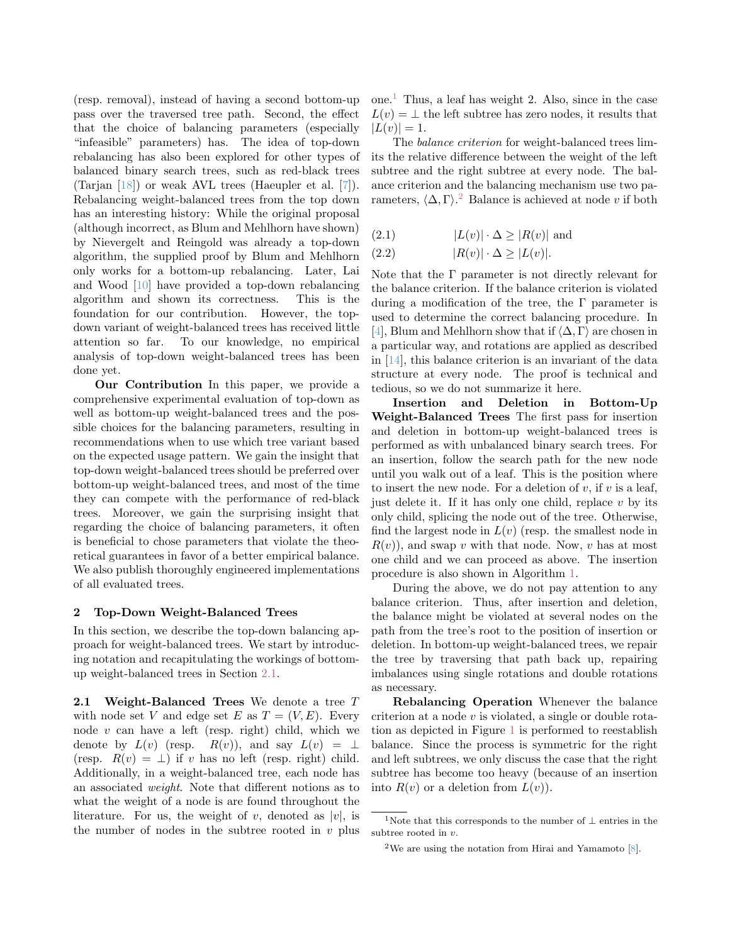(resp. removal), instead of having a second bottom-up pass over the traversed tree path. Second, the effect that the choice of balancing parameters (especially "infeasible" parameters) has. The idea of top-down rebalancing has also been explored for other types of balanced binary search trees, such as red-black trees (Tarjan [\[18\]](#page-10-7)) or weak AVL trees (Haeupler et al. [\[7\]](#page-9-4)). Rebalancing weight-balanced trees from the top down has an interesting history: While the original proposal (although incorrect, as Blum and Mehlhorn have shown) by Nievergelt and Reingold was already a top-down algorithm, the supplied proof by Blum and Mehlhorn only works for a bottom-up rebalancing. Later, Lai and Wood [\[10\]](#page-10-8) have provided a top-down rebalancing algorithm and shown its correctness. This is the foundation for our contribution. However, the topdown variant of weight-balanced trees has received little attention so far. To our knowledge, no empirical analysis of top-down weight-balanced trees has been done yet.

Our Contribution In this paper, we provide a comprehensive experimental evaluation of top-down as well as bottom-up weight-balanced trees and the possible choices for the balancing parameters, resulting in recommendations when to use which tree variant based on the expected usage pattern. We gain the insight that top-down weight-balanced trees should be preferred over bottom-up weight-balanced trees, and most of the time they can compete with the performance of red-black trees. Moreover, we gain the surprising insight that regarding the choice of balancing parameters, it often is beneficial to chose parameters that violate the theoretical guarantees in favor of a better empirical balance. We also publish thoroughly engineered implementations of all evaluated trees.

#### <span id="page-1-5"></span>2 Top-Down Weight-Balanced Trees

In this section, we describe the top-down balancing approach for weight-balanced trees. We start by introducing notation and recapitulating the workings of bottomup weight-balanced trees in Section [2.1.](#page-1-0)

<span id="page-1-0"></span>2.1 Weight-Balanced Trees We denote a tree  $T$ with node set V and edge set E as  $T = (V, E)$ . Every node  $v$  can have a left (resp. right) child, which we denote by  $L(v)$  (resp.  $R(v)$ ), and say  $L(v) = \perp$ (resp.  $R(v) = \perp$ ) if v has no left (resp. right) child. Additionally, in a weight-balanced tree, each node has an associated weight. Note that different notions as to what the weight of a node is are found throughout the literature. For us, the weight of v, denoted as  $|v|$ , is the number of nodes in the subtree rooted in  $v$  plus one.[1](#page-1-1) Thus, a leaf has weight 2. Also, since in the case  $L(v) = \perp$  the left subtree has zero nodes, it results that  $|L(v)| = 1.$ 

The balance criterion for weight-balanced trees limits the relative difference between the weight of the left subtree and the right subtree at every node. The balance criterion and the balancing mechanism use two parameters,  $\langle \Delta, \Gamma \rangle$ <sup>[2](#page-1-2)</sup> Balance is achieved at node v if both

<span id="page-1-3"></span>
$$
(2.1) \t|L(v)| \cdot \Delta \ge |R(v)| \text{ and}
$$

<span id="page-1-4"></span>
$$
(2.2) \t\t |R(v)| \cdot \Delta \ge |L(v)|.
$$

Note that the  $\Gamma$  parameter is not directly relevant for the balance criterion. If the balance criterion is violated during a modification of the tree, the Γ parameter is used to determine the correct balancing procedure. In [\[4\]](#page-9-2), Blum and Mehlhorn show that if  $\langle \Delta, \Gamma \rangle$  are chosen in a particular way, and rotations are applied as described in [\[14\]](#page-10-0), this balance criterion is an invariant of the data structure at every node. The proof is technical and tedious, so we do not summarize it here.

Insertion and Deletion in Bottom-Up Weight-Balanced Trees The first pass for insertion and deletion in bottom-up weight-balanced trees is performed as with unbalanced binary search trees. For an insertion, follow the search path for the new node until you walk out of a leaf. This is the position where to insert the new node. For a deletion of  $v$ , if  $v$  is a leaf, just delete it. If it has only one child, replace  $v$  by its only child, splicing the node out of the tree. Otherwise, find the largest node in  $L(v)$  (resp. the smallest node in  $R(v)$ , and swap v with that node. Now, v has at most one child and we can proceed as above. The insertion procedure is also shown in Algorithm [1.](#page-3-0)

During the above, we do not pay attention to any balance criterion. Thus, after insertion and deletion, the balance might be violated at several nodes on the path from the tree's root to the position of insertion or deletion. In bottom-up weight-balanced trees, we repair the tree by traversing that path back up, repairing imbalances using single rotations and double rotations as necessary.

Rebalancing Operation Whenever the balance criterion at a node  $v$  is violated, a single or double rotation as depicted in Figure [1](#page-2-0) is performed to reestablish balance. Since the process is symmetric for the right and left subtrees, we only discuss the case that the right subtree has become too heavy (because of an insertion into  $R(v)$  or a deletion from  $L(v)$ ).

<span id="page-1-1"></span><sup>&</sup>lt;sup>1</sup>Note that this corresponds to the number of ⊥ entries in the subtree rooted in v.

<span id="page-1-2"></span><sup>&</sup>lt;sup>2</sup>We are using the notation from Hirai and Yamamoto  $[8]$ .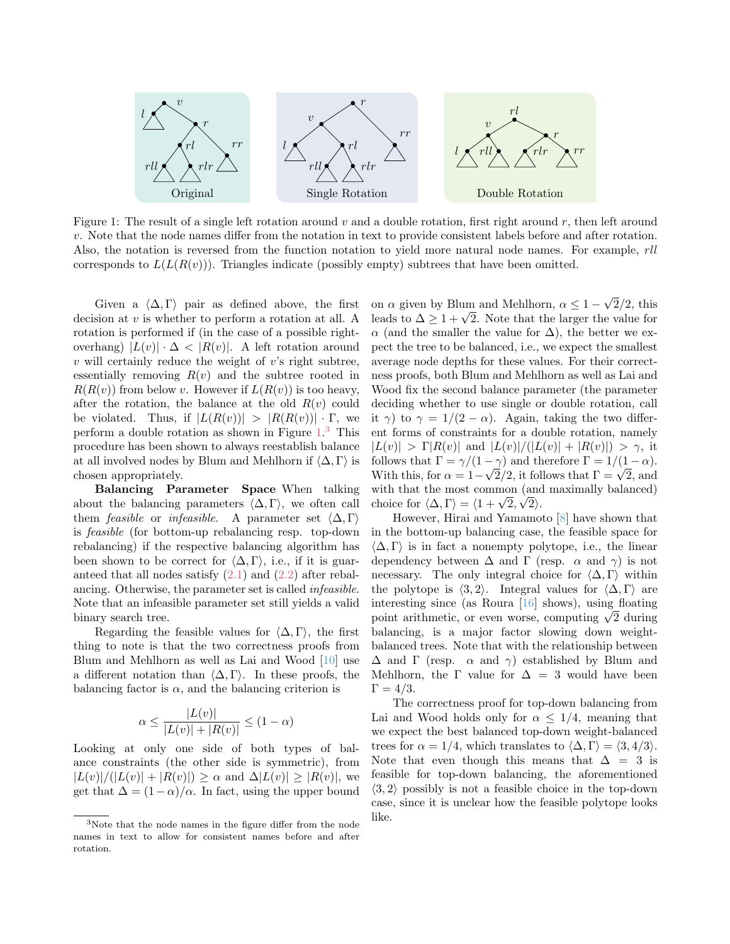<span id="page-2-0"></span>

Figure 1: The result of a single left rotation around  $v$  and a double rotation, first right around  $r$ , then left around v. Note that the node names differ from the notation in text to provide consistent labels before and after rotation. Also, the notation is reversed from the function notation to yield more natural node names. For example, rll corresponds to  $L(L(R(v)))$ . Triangles indicate (possibly empty) subtrees that have been omitted.

Given a  $\langle \Delta, \Gamma \rangle$  pair as defined above, the first decision at  $v$  is whether to perform a rotation at all. A rotation is performed if (in the case of a possible rightoverhang)  $|L(v)| \cdot \Delta < |R(v)|$ . A left rotation around  $v$  will certainly reduce the weight of  $v$ 's right subtree, essentially removing  $R(v)$  and the subtree rooted in  $R(R(v))$  from below v. However if  $L(R(v))$  is too heavy, after the rotation, the balance at the old  $R(v)$  could be violated. Thus, if  $|L(R(v))| > |R(R(v))| \cdot \Gamma$ , we perform a double rotation as shown in Figure [1.](#page-2-0) [3](#page-2-1) This procedure has been shown to always reestablish balance at all involved nodes by Blum and Mehlhorn if  $\langle \Delta, \Gamma \rangle$  is chosen appropriately.

Balancing Parameter Space When talking about the balancing parameters  $\langle \Delta, \Gamma \rangle$ , we often call them *feasible* or *infeasible*. A parameter set  $\langle \Delta, \Gamma \rangle$ is feasible (for bottom-up rebalancing resp. top-down rebalancing) if the respective balancing algorithm has been shown to be correct for  $\langle \Delta, \Gamma \rangle$ , i.e., if it is guaranteed that all nodes satisfy [\(2.1\)](#page-1-3) and [\(2.2\)](#page-1-4) after rebalancing. Otherwise, the parameter set is called infeasible. Note that an infeasible parameter set still yields a valid binary search tree.

Regarding the feasible values for  $\langle \Delta, \Gamma \rangle$ , the first thing to note is that the two correctness proofs from Blum and Mehlhorn as well as Lai and Wood [\[10\]](#page-10-8) use a different notation than  $\langle \Delta, \Gamma \rangle$ . In these proofs, the balancing factor is  $\alpha$ , and the balancing criterion is

$$
\alpha \le \frac{|L(v)|}{|L(v)| + |R(v)|} \le (1 - \alpha)
$$

Looking at only one side of both types of balance constraints (the other side is symmetric), from  $|L(v)|/(|L(v)| + |R(v)|) > \alpha$  and  $\Delta |L(v)| > |R(v)|$ , we get that  $\Delta = (1 - \alpha)/\alpha$ . In fact, using the upper bound

on  $\alpha$  given by Blum and Mehlhorn,  $\alpha \leq 1$  – √  $2/2$ , this on  $\alpha$  given by Bium and Meninorn,  $\alpha \leq 1 - \sqrt{2}/2$ , this leads to  $\Delta \geq 1 + \sqrt{2}$ . Note that the larger the value for  $\alpha$  (and the smaller the value for  $\Delta$ ), the better we expect the tree to be balanced, i.e., we expect the smallest average node depths for these values. For their correctness proofs, both Blum and Mehlhorn as well as Lai and Wood fix the second balance parameter (the parameter deciding whether to use single or double rotation, call it  $\gamma$ ) to  $\gamma = 1/(2 - \alpha)$ . Again, taking the two different forms of constraints for a double rotation, namely  $|L(v)| > \Gamma |R(v)|$  and  $|L(v)|/(|L(v)| + |R(v)|) > \gamma$ , it follows that  $\Gamma = \gamma/(1-\gamma)$  and therefore  $\Gamma = 1/(1-\alpha)$ . Follows that  $I = \gamma/(1-\gamma)$  and therefore  $I = 1/(1-\alpha)$ .<br>With this, for  $\alpha = 1-\sqrt{2}/2$ , it follows that  $\Gamma = \sqrt{2}$ , and with that the most common (and maximally balanced) with that the most common (and<br>choice for  $\langle \Delta, \Gamma \rangle = \langle 1 + \sqrt{2}, \sqrt{2} \rangle$ .

However, Hirai and Yamamoto [\[8\]](#page-10-4) have shown that in the bottom-up balancing case, the feasible space for  $\langle \Delta, \Gamma \rangle$  is in fact a nonempty polytope, i.e., the linear dependency between  $\Delta$  and  $\Gamma$  (resp.  $\alpha$  and  $\gamma$ ) is not necessary. The only integral choice for  $\langle \Delta, \Gamma \rangle$  within the polytope is  $\langle 3, 2 \rangle$ . Integral values for  $\langle \Delta, \Gamma \rangle$  are interesting since (as Roura [\[16\]](#page-10-5) shows), using floating interesting since (as Koura  $[10]$  shows), using noating point arithmetic, or even worse, computing  $\sqrt{2}$  during balancing, is a major factor slowing down weightbalanced trees. Note that with the relationship between  $\Delta$  and  $\Gamma$  (resp.  $\alpha$  and  $\gamma$ ) established by Blum and Mehlhorn, the  $\Gamma$  value for  $\Delta = 3$  would have been  $\Gamma = 4/3.$ 

The correctness proof for top-down balancing from Lai and Wood holds only for  $\alpha \leq 1/4$ , meaning that we expect the best balanced top-down weight-balanced trees for  $\alpha = 1/4$ , which translates to  $\langle \Delta, \Gamma \rangle = \langle 3, 4/3 \rangle$ . Note that even though this means that  $\Delta = 3$  is feasible for top-down balancing, the aforementioned  $\langle 3, 2 \rangle$  possibly is not a feasible choice in the top-down case, since it is unclear how the feasible polytope looks like.

<span id="page-2-1"></span><sup>3</sup>Note that the node names in the figure differ from the node names in text to allow for consistent names before and after rotation.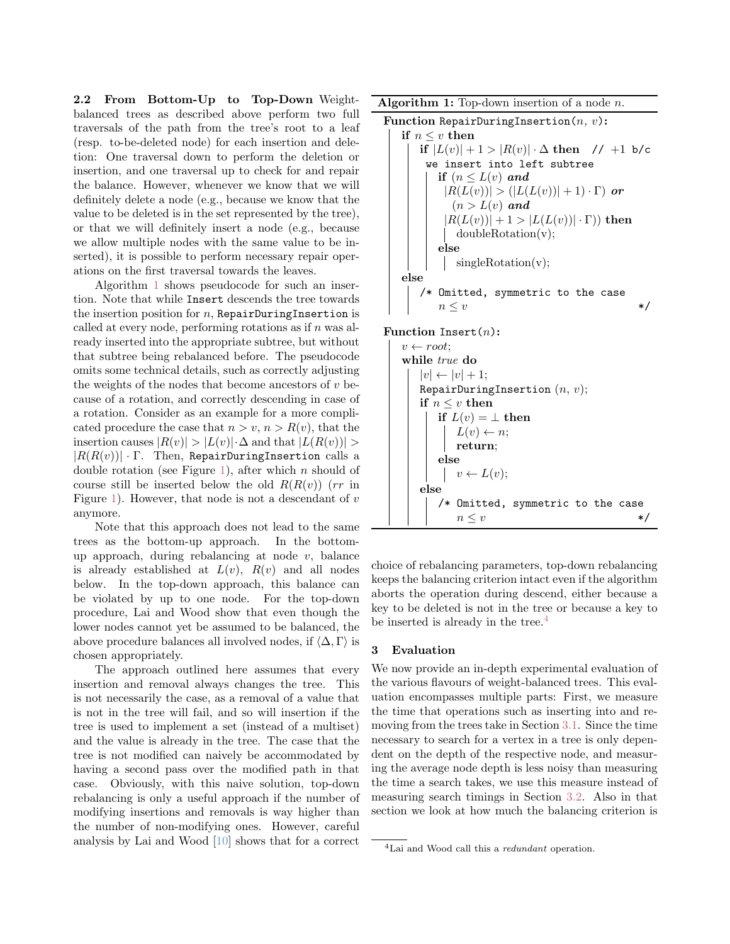2.2 From Bottom-Up to Top-Down Weightbalanced trees as described above perform two full traversals of the path from the tree's root to a leaf (resp. to-be-deleted node) for each insertion and deletion: One traversal down to perform the deletion or insertion, and one traversal up to check for and repair the balance. However, whenever we know that we will definitely delete a node (e.g., because we know that the value to be deleted is in the set represented by the tree), or that we will definitely insert a node (e.g., because we allow multiple nodes with the same value to be inserted), it is possible to perform necessary repair operations on the first traversal towards the leaves.

Algorithm [1](#page-3-0) shows pseudocode for such an insertion. Note that while Insert descends the tree towards the insertion position for  $n$ , RepairDuringInsertion is called at every node, performing rotations as if  $n$  was already inserted into the appropriate subtree, but without that subtree being rebalanced before. The pseudocode omits some technical details, such as correctly adjusting the weights of the nodes that become ancestors of  $v$  because of a rotation, and correctly descending in case of a rotation. Consider as an example for a more complicated procedure the case that  $n > v$ ,  $n > R(v)$ , that the insertion causes  $|R(v)| > |L(v)| \cdot \Delta$  and that  $|L(R(v))| >$  $|R(R(v))| \cdot \Gamma$ . Then, RepairDuringInsertion calls a double rotation (see Figure [1\)](#page-2-0), after which  $n$  should of course still be inserted below the old  $R(R(v))$  (rr in Figure [1\)](#page-2-0). However, that node is not a descendant of  $v$ anymore.

Note that this approach does not lead to the same trees as the bottom-up approach. In the bottomup approach, during rebalancing at node  $v$ , balance is already established at  $L(v)$ ,  $R(v)$  and all nodes below. In the top-down approach, this balance can be violated by up to one node. For the top-down procedure, Lai and Wood show that even though the lower nodes cannot yet be assumed to be balanced, the above procedure balances all involved nodes, if  $\langle \Delta, \Gamma \rangle$  is chosen appropriately.

The approach outlined here assumes that every insertion and removal always changes the tree. This is not necessarily the case, as a removal of a value that is not in the tree will fail, and so will insertion if the tree is used to implement a set (instead of a multiset) and the value is already in the tree. The case that the tree is not modified can naively be accommodated by having a second pass over the modified path in that case. Obviously, with this naive solution, top-down rebalancing is only a useful approach if the number of modifying insertions and removals is way higher than the number of non-modifying ones. However, careful analysis by Lai and Wood [\[10\]](#page-10-8) shows that for a correct **Algorithm 1:** Top-down insertion of a node  $n$ .

```
Function RepairDuringInsertion(n, v):
if n \leq v then
   if |L(v)| + 1 > |R(v)| \cdot \Delta then // +1 b/c
    we insert into left subtree
      if (n \leq L(v) and
        |R(L(v))| > (|L(L(v))|+1) \cdot \Gamma or
         (n > L(v) and
        |R(L(v))| + 1 > |L(L(v))| \cdot \Gamma) then
         doubleRotation(v);
      else
         singleRotation(v);
else
   /* Omitted, symmetric to the case
      n \leq v */
```
## Function Insert $(n)$ :

$$
\begin{array}{|l|l|} & v \leftarrow root;\\ & \text{while } true\ \mathbf{do}\\ & |v| \leftarrow |v|+1;\\ & \text{RepairDuringInsertion }(n,v);\\ & \text{if } n \leq v\ \mathbf{then}\\ & \text{if } L(v) = \bot\ \mathbf{then}\\ & L(v) \leftarrow n;\\ & \text{return};\\ & \text{else}\\ & v \leftarrow L(v);\\ & \text{else}\\ & \text{/* Omitted, symmetric to the case}\\ & n \leq v\\ & & * \end{array}
$$

<span id="page-3-0"></span>choice of rebalancing parameters, top-down rebalancing keeps the balancing criterion intact even if the algorithm aborts the operation during descend, either because a key to be deleted is not in the tree or because a key to be inserted is already in the tree. $4$ 

### 3 Evaluation

We now provide an in-depth experimental evaluation of the various flavours of weight-balanced trees. This evaluation encompasses multiple parts: First, we measure the time that operations such as inserting into and removing from the trees take in Section [3.1.](#page-4-0) Since the time necessary to search for a vertex in a tree is only dependent on the depth of the respective node, and measuring the average node depth is less noisy than measuring the time a search takes, we use this measure instead of measuring search timings in Section [3.2.](#page-7-0) Also in that section we look at how much the balancing criterion is

<span id="page-3-1"></span><sup>&</sup>lt;sup>4</sup>Lai and Wood call this a *redundant* operation.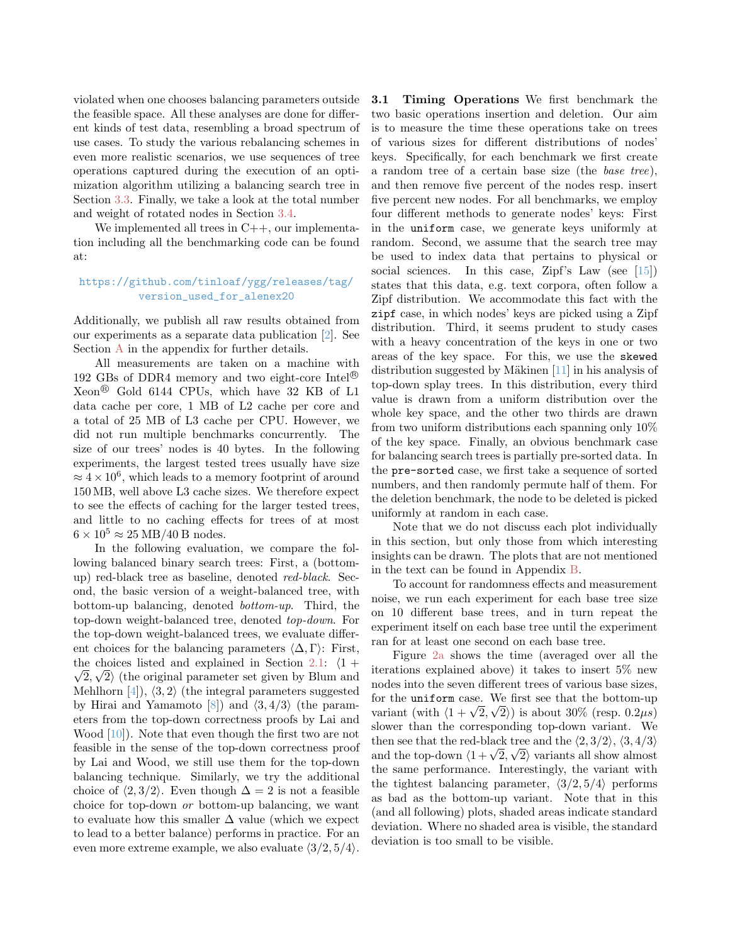violated when one chooses balancing parameters outside the feasible space. All these analyses are done for different kinds of test data, resembling a broad spectrum of use cases. To study the various rebalancing schemes in even more realistic scenarios, we use sequences of tree operations captured during the execution of an optimization algorithm utilizing a balancing search tree in Section [3.3.](#page-7-1) Finally, we take a look at the total number and weight of rotated nodes in Section [3.4.](#page-8-0)

We implemented all trees in  $C++$ , our implementation including all the benchmarking code can be found at:

# [https://github.com/tinloaf/ygg/releases/tag/](https://github.com/tinloaf/ygg/releases/tag/version_used_for_alenex20) [version\\_used\\_for\\_alenex20](https://github.com/tinloaf/ygg/releases/tag/version_used_for_alenex20)

Additionally, we publish all raw results obtained from our experiments as a separate data publication [\[2\]](#page-9-5). See Section [A](#page-0-0) in the appendix for further details.

All measurements are taken on a machine with 192 GBs of DDR4 memory and two eight-core Intel<sup>®</sup> Xeon <sup>R</sup> Gold 6144 CPUs, which have 32 KB of L1 data cache per core, 1 MB of L2 cache per core and a total of 25 MB of L3 cache per CPU. However, we did not run multiple benchmarks concurrently. The size of our trees' nodes is 40 bytes. In the following experiments, the largest tested trees usually have size  $\approx 4 \times 10^6$ , which leads to a memory footprint of around 150 MB, well above L3 cache sizes. We therefore expect to see the effects of caching for the larger tested trees, and little to no caching effects for trees of at most  $6 \times 10^5 \approx 25 \text{ MB}/40 \text{ B} \text{ nodes}.$ 

In the following evaluation, we compare the following balanced binary search trees: First, a (bottomup) red-black tree as baseline, denoted red-black. Second, the basic version of a weight-balanced tree, with bottom-up balancing, denoted bottom-up. Third, the top-down weight-balanced tree, denoted top-down. For the top-down weight-balanced trees, we evaluate different choices for the balancing parameters  $\langle \Delta, \Gamma \rangle$ : First, the choices listed and explained in Section [2.1:](#page-1-0)  $\langle 1 +$  $\langle 2, \sqrt{2} \rangle$  (the original parameter set given by Blum and Mehlhorn  $[4]$ ,  $\langle 3, 2 \rangle$  (the integral parameters suggested by Hirai and Yamamoto [\[8\]](#page-10-4)) and  $\langle 3, 4/3 \rangle$  (the parameters from the top-down correctness proofs by Lai and Wood [\[10\]](#page-10-8)). Note that even though the first two are not feasible in the sense of the top-down correctness proof by Lai and Wood, we still use them for the top-down balancing technique. Similarly, we try the additional choice of  $\langle 2, 3/2 \rangle$ . Even though  $\Delta = 2$  is not a feasible choice for top-down or bottom-up balancing, we want to evaluate how this smaller  $\Delta$  value (which we expect to lead to a better balance) performs in practice. For an even more extreme example, we also evaluate  $\langle 3/2, 5/4 \rangle$ .

<span id="page-4-0"></span>3.1 Timing Operations We first benchmark the two basic operations insertion and deletion. Our aim is to measure the time these operations take on trees of various sizes for different distributions of nodes' keys. Specifically, for each benchmark we first create a random tree of a certain base size (the base tree), and then remove five percent of the nodes resp. insert five percent new nodes. For all benchmarks, we employ four different methods to generate nodes' keys: First in the uniform case, we generate keys uniformly at random. Second, we assume that the search tree may be used to index data that pertains to physical or social sciences. In this case, Zipf's Law (see [\[15\]](#page-10-9)) states that this data, e.g. text corpora, often follow a Zipf distribution. We accommodate this fact with the zipf case, in which nodes' keys are picked using a Zipf distribution. Third, it seems prudent to study cases with a heavy concentration of the keys in one or two areas of the key space. For this, we use the skewed distribution suggested by Mäkinen  $[11]$  in his analysis of top-down splay trees. In this distribution, every third value is drawn from a uniform distribution over the whole key space, and the other two thirds are drawn from two uniform distributions each spanning only 10% of the key space. Finally, an obvious benchmark case for balancing search trees is partially pre-sorted data. In the pre-sorted case, we first take a sequence of sorted numbers, and then randomly permute half of them. For the deletion benchmark, the node to be deleted is picked uniformly at random in each case.

Note that we do not discuss each plot individually in this section, but only those from which interesting insights can be drawn. The plots that are not mentioned in the text can be found in Appendix [B.](#page-1-5)

To account for randomness effects and measurement noise, we run each experiment for each base tree size on 10 different base trees, and in turn repeat the experiment itself on each base tree until the experiment ran for at least one second on each base tree.

Figure [2a](#page-5-0) shows the time (averaged over all the iterations explained above) it takes to insert 5% new nodes into the seven different trees of various base sizes, for the uniform case. We first see that the bottom-up for the uniform case. We first see that the bottom-up<br>variant (with  $\langle 1 + \sqrt{2}, \sqrt{2} \rangle$ ) is about 30% (resp. 0.2 $\mu$ s) slower than the corresponding top-down variant. We then see that the red-black tree and the  $\langle 2, 3/2 \rangle$ ,  $\langle 3, 4/3 \rangle$ then see that the red-black tree and the  $(2, 3/2)$ ,  $(3, 4/3)$ <br>and the top-down  $\langle 1 + \sqrt{2}, \sqrt{2} \rangle$  variants all show almost the same performance. Interestingly, the variant with the tightest balancing parameter,  $\langle 3/2, 5/4 \rangle$  performs as bad as the bottom-up variant. Note that in this (and all following) plots, shaded areas indicate standard deviation. Where no shaded area is visible, the standard deviation is too small to be visible.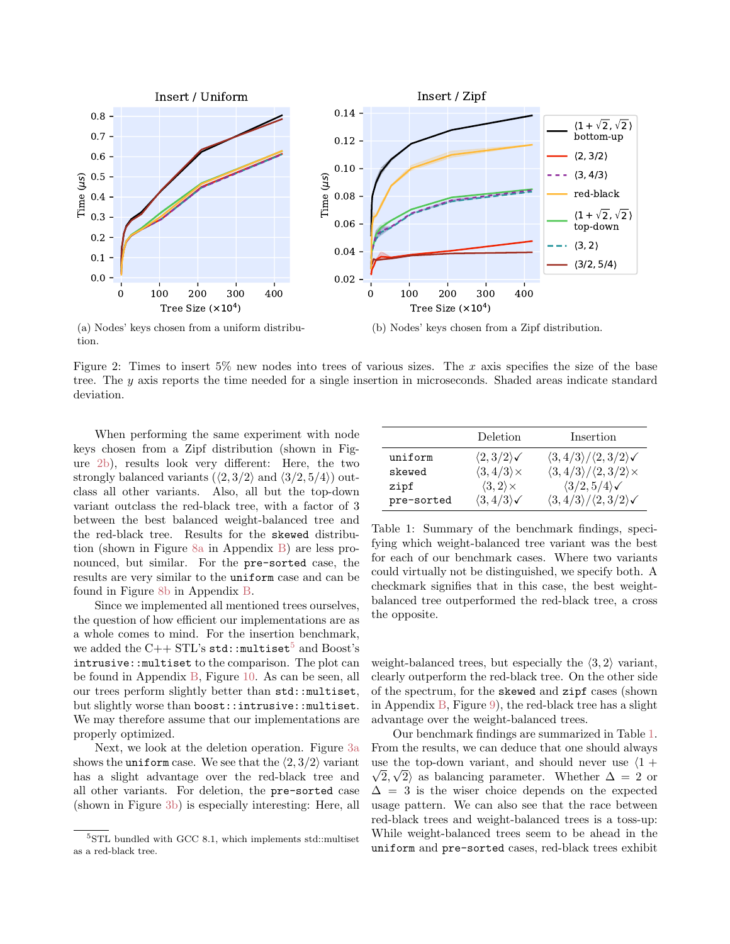<span id="page-5-0"></span>

(a) Nodes' keys chosen from a uniform distribution.

(b) Nodes' keys chosen from a Zipf distribution.

Figure 2: Times to insert 5% new nodes into trees of various sizes. The x axis specifies the size of the base tree. The y axis reports the time needed for a single insertion in microseconds. Shaded areas indicate standard deviation.

When performing the same experiment with node keys chosen from a Zipf distribution (shown in Figure [2b\)](#page-5-0), results look very different: Here, the two strongly balanced variants  $(\langle 2, 3/2 \rangle)$  and  $\langle 3/2, 5/4 \rangle$  outclass all other variants. Also, all but the top-down variant outclass the red-black tree, with a factor of 3 between the best balanced weight-balanced tree and the red-black tree. Results for the skewed distribution (shown in Figure [8a](#page-12-0) in Appendix [B\)](#page-1-5) are less pronounced, but similar. For the pre-sorted case, the results are very similar to the uniform case and can be found in Figure [8b](#page-12-0) in Appendix [B.](#page-1-5)

Since we implemented all mentioned trees ourselves, the question of how efficient our implementations are as a whole comes to mind. For the insertion benchmark, we added the C++ STL's std:: $multiset^5$  $multiset^5$  and Boost's intrusive::multiset to the comparison. The plot can be found in Appendix [B,](#page-1-5) Figure [10.](#page-13-0) As can be seen, all our trees perform slightly better than std::multiset, but slightly worse than boost::intrusive::multiset. We may therefore assume that our implementations are properly optimized.

Next, we look at the deletion operation. Figure [3a](#page-6-0) shows the uniform case. We see that the  $\langle 2, 3/2 \rangle$  variant has a slight advantage over the red-black tree and all other variants. For deletion, the pre-sorted case (shown in Figure [3b\)](#page-6-0) is especially interesting: Here, all

<span id="page-5-2"></span>

|            | Deletion                         | Insertion                                                |
|------------|----------------------------------|----------------------------------------------------------|
| uniform    | $\langle 2,3/2\rangle\checkmark$ | $\langle 3, 4/3 \rangle / \langle 2, 3/2 \rangle$        |
| skewed     | $\langle 3, 4/3 \rangle \times$  | $\langle 3, 4/3 \rangle / \langle 2, 3/2 \rangle \times$ |
| zipf       | $\langle 3,2\rangle \times$      | $\langle 3/2, 5/4 \rangle$                               |
| pre-sorted | $\langle 3, 4/3 \rangle$         | $\langle 3, 4/3 \rangle / \langle 2, 3/2 \rangle$        |

Table 1: Summary of the benchmark findings, specifying which weight-balanced tree variant was the best for each of our benchmark cases. Where two variants could virtually not be distinguished, we specify both. A checkmark signifies that in this case, the best weightbalanced tree outperformed the red-black tree, a cross the opposite.

weight-balanced trees, but especially the  $\langle 3, 2 \rangle$  variant, clearly outperform the red-black tree. On the other side of the spectrum, for the skewed and zipf cases (shown in Appendix  $B$ , Figure [9\)](#page-12-1), the red-black tree has a slight advantage over the weight-balanced trees.

Our benchmark findings are summarized in Table [1.](#page-5-2) From the results, we can deduce that one should always use the top-down variant, and should never use  $\langle 1 +$  $2, \sqrt{2}$  as balancing parameter. Whether  $\Delta = 2$  or  $\Delta = 3$  is the wiser choice depends on the expected usage pattern. We can also see that the race between red-black trees and weight-balanced trees is a toss-up: While weight-balanced trees seem to be ahead in the uniform and pre-sorted cases, red-black trees exhibit

<span id="page-5-1"></span><sup>5</sup>STL bundled with GCC 8.1, which implements std::multiset as a red-black tree.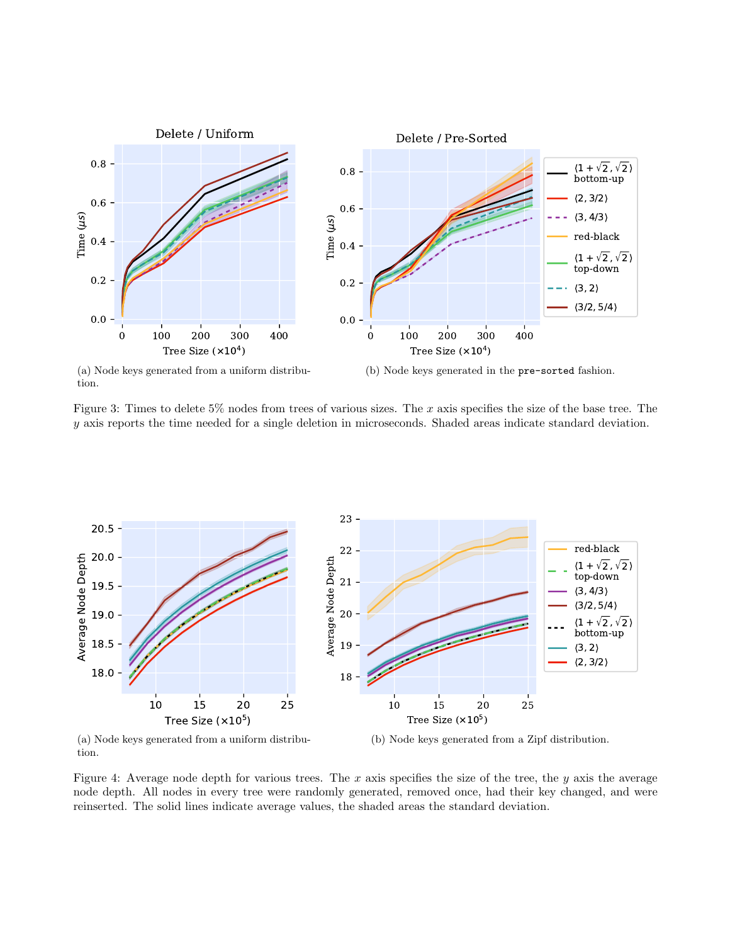<span id="page-6-0"></span>

tion.

Figure 3: Times to delete 5% nodes from trees of various sizes. The x axis specifies the size of the base tree. The y axis reports the time needed for a single deletion in microseconds. Shaded areas indicate standard deviation.

<span id="page-6-1"></span>

tion.

(b) Node keys generated from a Zipf distribution.

Figure 4: Average node depth for various trees. The x axis specifies the size of the tree, the y axis the average node depth. All nodes in every tree were randomly generated, removed once, had their key changed, and were reinserted. The solid lines indicate average values, the shaded areas the standard deviation.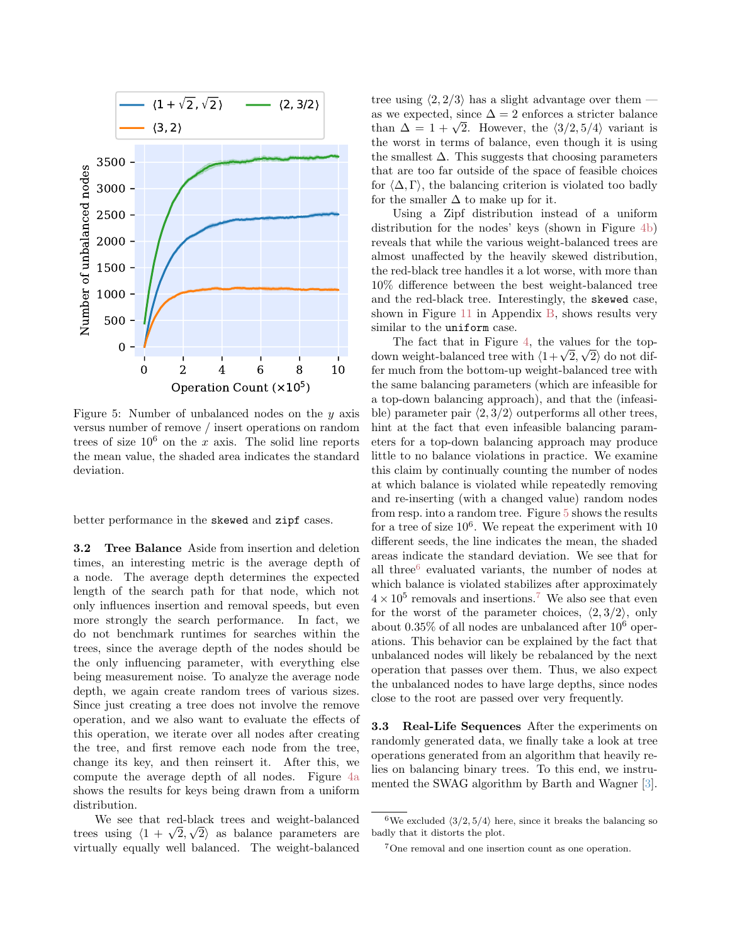<span id="page-7-2"></span>

Figure 5: Number of unbalanced nodes on the  $y$  axis versus number of remove / insert operations on random trees of size  $10^6$  on the x axis. The solid line reports the mean value, the shaded area indicates the standard deviation.

better performance in the skewed and zipf cases.

<span id="page-7-0"></span>3.2 Tree Balance Aside from insertion and deletion times, an interesting metric is the average depth of a node. The average depth determines the expected length of the search path for that node, which not only influences insertion and removal speeds, but even more strongly the search performance. In fact, we do not benchmark runtimes for searches within the trees, since the average depth of the nodes should be the only influencing parameter, with everything else being measurement noise. To analyze the average node depth, we again create random trees of various sizes. Since just creating a tree does not involve the remove operation, and we also want to evaluate the effects of this operation, we iterate over all nodes after creating the tree, and first remove each node from the tree, change its key, and then reinsert it. After this, we compute the average depth of all nodes. Figure [4a](#page-6-1) shows the results for keys being drawn from a uniform distribution.

We see that red-black trees and weight-balanced We see that red-black trees and weight-balanced<br>trees using  $\langle 1 + \sqrt{2}, \sqrt{2} \rangle$  as balance parameters are virtually equally well balanced. The weight-balanced tree using  $\langle 2, 2/3 \rangle$  has a slight advantage over them as we expected, since  $\Delta = 2$  enforces a stricter balance as we expected, since  $\Delta = 2$  enforces a stricter balance<br>than  $\Delta = 1 + \sqrt{2}$ . However, the  $\langle 3/2, 5/4 \rangle$  variant is the worst in terms of balance, even though it is using the smallest  $\Delta$ . This suggests that choosing parameters that are too far outside of the space of feasible choices for  $\langle \Delta, \Gamma \rangle$ , the balancing criterion is violated too badly for the smaller  $\Delta$  to make up for it.

Using a Zipf distribution instead of a uniform distribution for the nodes' keys (shown in Figure [4b\)](#page-6-1) reveals that while the various weight-balanced trees are almost unaffected by the heavily skewed distribution, the red-black tree handles it a lot worse, with more than 10% difference between the best weight-balanced tree and the red-black tree. Interestingly, the skewed case, shown in Figure [11](#page-13-1) in Appendix [B,](#page-1-5) shows results very similar to the uniform case.

The fact that in Figure [4,](#page-6-1) the values for the top-The fact that in Figure 4, the values for the top-<br>down weight-balanced tree with  $\langle 1+\sqrt{2},\sqrt{2} \rangle$  do not differ much from the bottom-up weight-balanced tree with the same balancing parameters (which are infeasible for a top-down balancing approach), and that the (infeasible) parameter pair  $\langle 2, 3/2 \rangle$  outperforms all other trees, hint at the fact that even infeasible balancing parameters for a top-down balancing approach may produce little to no balance violations in practice. We examine this claim by continually counting the number of nodes at which balance is violated while repeatedly removing and re-inserting (with a changed value) random nodes from resp. into a random tree. Figure [5](#page-7-2) shows the results for a tree of size  $10^6$ . We repeat the experiment with 10 different seeds, the line indicates the mean, the shaded areas indicate the standard deviation. We see that for all three<sup>[6](#page-7-3)</sup> evaluated variants, the number of nodes at which balance is violated stabilizes after approximately  $4 \times 10^5$  removals and insertions.<sup>[7](#page-7-4)</sup> We also see that even for the worst of the parameter choices,  $\langle 2, 3/2 \rangle$ , only about  $0.35\%$  of all nodes are unbalanced after  $10^6$  operations. This behavior can be explained by the fact that unbalanced nodes will likely be rebalanced by the next operation that passes over them. Thus, we also expect the unbalanced nodes to have large depths, since nodes close to the root are passed over very frequently.

<span id="page-7-1"></span>3.3 Real-Life Sequences After the experiments on randomly generated data, we finally take a look at tree operations generated from an algorithm that heavily relies on balancing binary trees. To this end, we instrumented the SWAG algorithm by Barth and Wagner [\[3\]](#page-9-6).

<span id="page-7-3"></span><sup>&</sup>lt;sup>6</sup>We excluded  $\langle 3/2, 5/4 \rangle$  here, since it breaks the balancing so badly that it distorts the plot.

<span id="page-7-4"></span><sup>7</sup>One removal and one insertion count as one operation.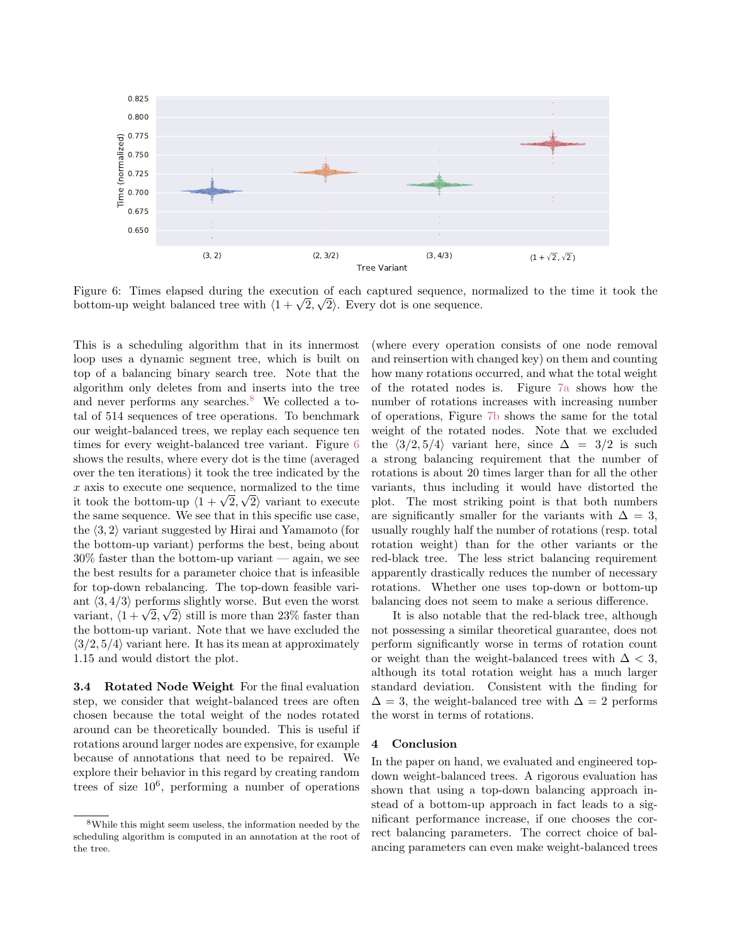<span id="page-8-2"></span>

Figure 6: Times elapsed during the execution of each captured sequence, normalized to the time it took the Figure 6: Times elapsed during the execution of each captured sequence, no<br>bottom-up weight balanced tree with  $\langle 1 + \sqrt{2}, \sqrt{2} \rangle$ . Every dot is one sequence.

This is a scheduling algorithm that in its innermost loop uses a dynamic segment tree, which is built on top of a balancing binary search tree. Note that the algorithm only deletes from and inserts into the tree and never performs any searches. $8$  We collected a total of 514 sequences of tree operations. To benchmark our weight-balanced trees, we replay each sequence ten times for every weight-balanced tree variant. Figure [6](#page-8-2) shows the results, where every dot is the time (averaged over the ten iterations) it took the tree indicated by the x axis to execute one sequence, normalized to the time x axis to execute one sequence, normalized to the time<br>it took the bottom-up  $\langle 1 + \sqrt{2}, \sqrt{2} \rangle$  variant to execute the same sequence. We see that in this specific use case, the  $\langle 3, 2 \rangle$  variant suggested by Hirai and Yamamoto (for the bottom-up variant) performs the best, being about  $30\%$  faster than the bottom-up variant — again, we see the best results for a parameter choice that is infeasible for top-down rebalancing. The top-down feasible variant  $\langle 3, 4/3 \rangle$  performs slightly worse. But even the worst ant  $\langle 3, 4/3 \rangle$  performs slightly worse. But even the worst<br>variant,  $\langle 1 + \sqrt{2}, \sqrt{2} \rangle$  still is more than 23% faster than the bottom-up variant. Note that we have excluded the  $\langle 3/2, 5/4 \rangle$  variant here. It has its mean at approximately 1.15 and would distort the plot.

<span id="page-8-0"></span>3.4 Rotated Node Weight For the final evaluation step, we consider that weight-balanced trees are often chosen because the total weight of the nodes rotated around can be theoretically bounded. This is useful if rotations around larger nodes are expensive, for example because of annotations that need to be repaired. We explore their behavior in this regard by creating random trees of size  $10^6$ , performing a number of operations

(where every operation consists of one node removal and reinsertion with changed key) on them and counting how many rotations occurred, and what the total weight of the rotated nodes is. Figure [7a](#page-9-7) shows how the number of rotations increases with increasing number of operations, Figure [7b](#page-9-7) shows the same for the total weight of the rotated nodes. Note that we excluded the  $\langle 3/2, 5/4 \rangle$  variant here, since  $\Delta = 3/2$  is such a strong balancing requirement that the number of rotations is about 20 times larger than for all the other variants, thus including it would have distorted the plot. The most striking point is that both numbers are significantly smaller for the variants with  $\Delta = 3$ , usually roughly half the number of rotations (resp. total rotation weight) than for the other variants or the red-black tree. The less strict balancing requirement apparently drastically reduces the number of necessary rotations. Whether one uses top-down or bottom-up balancing does not seem to make a serious difference.

It is also notable that the red-black tree, although not possessing a similar theoretical guarantee, does not perform significantly worse in terms of rotation count or weight than the weight-balanced trees with  $\Delta < 3$ , although its total rotation weight has a much larger standard deviation. Consistent with the finding for  $\Delta = 3$ , the weight-balanced tree with  $\Delta = 2$  performs the worst in terms of rotations.

#### 4 Conclusion

In the paper on hand, we evaluated and engineered topdown weight-balanced trees. A rigorous evaluation has shown that using a top-down balancing approach instead of a bottom-up approach in fact leads to a significant performance increase, if one chooses the correct balancing parameters. The correct choice of balancing parameters can even make weight-balanced trees

<span id="page-8-1"></span><sup>8</sup>While this might seem useless, the information needed by the scheduling algorithm is computed in an annotation at the root of the tree.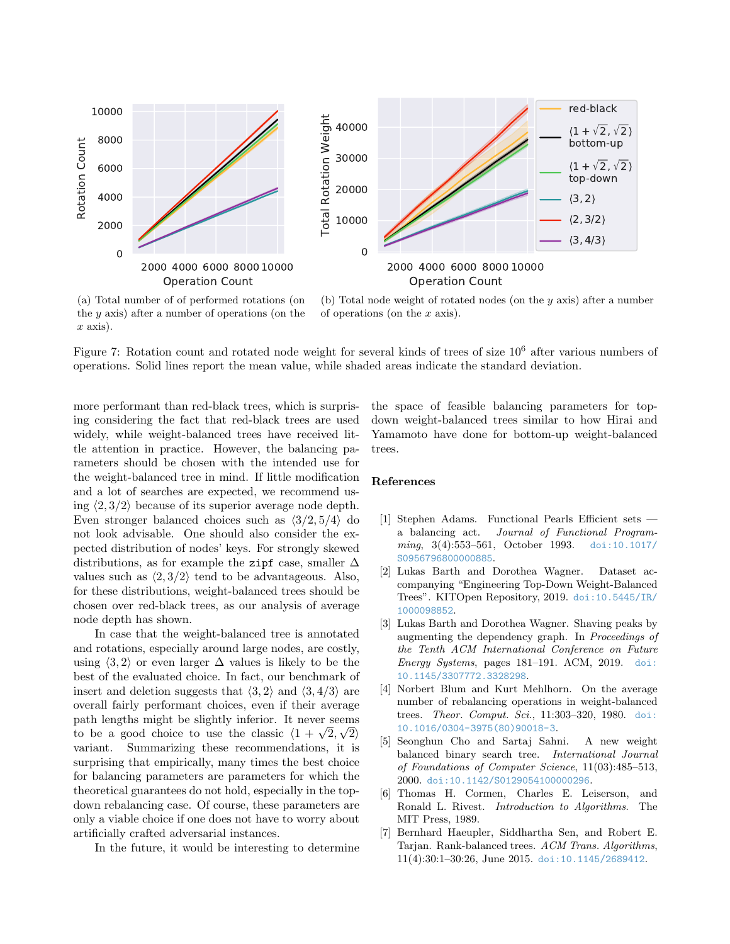<span id="page-9-7"></span>

(a) Total number of of performed rotations (on the y axis) after a number of operations (on the  $x \text{ axis}.$ 

(b) Total node weight of rotated nodes (on the  $y$  axis) after a number of operations (on the x axis).

Figure 7: Rotation count and rotated node weight for several kinds of trees of size  $10^6$  after various numbers of operations. Solid lines report the mean value, while shaded areas indicate the standard deviation.

more performant than red-black trees, which is surprising considering the fact that red-black trees are used widely, while weight-balanced trees have received little attention in practice. However, the balancing parameters should be chosen with the intended use for the weight-balanced tree in mind. If little modification and a lot of searches are expected, we recommend using  $\langle 2, 3/2 \rangle$  because of its superior average node depth. Even stronger balanced choices such as  $\langle 3/2, 5/4 \rangle$  do not look advisable. One should also consider the expected distribution of nodes' keys. For strongly skewed distributions, as for example the zipf case, smaller  $\Delta$ values such as  $\langle 2, 3/2 \rangle$  tend to be advantageous. Also, for these distributions, weight-balanced trees should be chosen over red-black trees, as our analysis of average node depth has shown.

In case that the weight-balanced tree is annotated and rotations, especially around large nodes, are costly, using  $\langle 3, 2 \rangle$  or even larger  $\Delta$  values is likely to be the best of the evaluated choice. In fact, our benchmark of insert and deletion suggests that  $\langle 3, 2 \rangle$  and  $\langle 3, 4/3 \rangle$  are overall fairly performant choices, even if their average path lengths might be slightly inferior. It never seems path lengths might be slightly interior. It never seems<br>to be a good choice to use the classic  $\langle 1 + \sqrt{2}, \sqrt{2} \rangle$ variant. Summarizing these recommendations, it is surprising that empirically, many times the best choice for balancing parameters are parameters for which the theoretical guarantees do not hold, especially in the topdown rebalancing case. Of course, these parameters are only a viable choice if one does not have to worry about artificially crafted adversarial instances.

In the future, it would be interesting to determine

the space of feasible balancing parameters for topdown weight-balanced trees similar to how Hirai and Yamamoto have done for bottom-up weight-balanced trees.

#### References

- <span id="page-9-1"></span>[1] Stephen Adams. Functional Pearls Efficient sets a balancing act. Journal of Functional Programming, 3(4):553–561, October 1993. [doi:10.1017/](http://dx.doi.org/10.1017/S0956796800000885) [S0956796800000885](http://dx.doi.org/10.1017/S0956796800000885).
- <span id="page-9-5"></span>[2] Lukas Barth and Dorothea Wagner. Dataset accompanying "Engineering Top-Down Weight-Balanced Trees". KITOpen Repository, 2019. [doi:10.5445/IR/](http://dx.doi.org/10.5445/IR/1000098852) [1000098852](http://dx.doi.org/10.5445/IR/1000098852).
- <span id="page-9-6"></span>[3] Lukas Barth and Dorothea Wagner. Shaving peaks by augmenting the dependency graph. In Proceedings of the Tenth ACM International Conference on Future Energy Systems, pages 181–191. ACM, 2019. [doi:](http://dx.doi.org/10.1145/3307772.3328298) [10.1145/3307772.3328298](http://dx.doi.org/10.1145/3307772.3328298).
- <span id="page-9-2"></span>[4] Norbert Blum and Kurt Mehlhorn. On the average number of rebalancing operations in weight-balanced trees. Theor. Comput. Sci., 11:303–320, 1980. [doi:](http://dx.doi.org/10.1016/0304-3975(80)90018-3) [10.1016/0304-3975\(80\)90018-3](http://dx.doi.org/10.1016/0304-3975(80)90018-3).
- <span id="page-9-3"></span>[5] Seonghun Cho and Sartaj Sahni. A new weight balanced binary search tree. International Journal of Foundations of Computer Science, 11(03):485–513, 2000. [doi:10.1142/S0129054100000296](http://dx.doi.org/10.1142/S0129054100000296).
- <span id="page-9-0"></span>[6] Thomas H. Cormen, Charles E. Leiserson, and Ronald L. Rivest. Introduction to Algorithms. The MIT Press, 1989.
- <span id="page-9-4"></span>[7] Bernhard Haeupler, Siddhartha Sen, and Robert E. Tarjan. Rank-balanced trees. ACM Trans. Algorithms, 11(4):30:1–30:26, June 2015. [doi:10.1145/2689412](http://dx.doi.org/10.1145/2689412).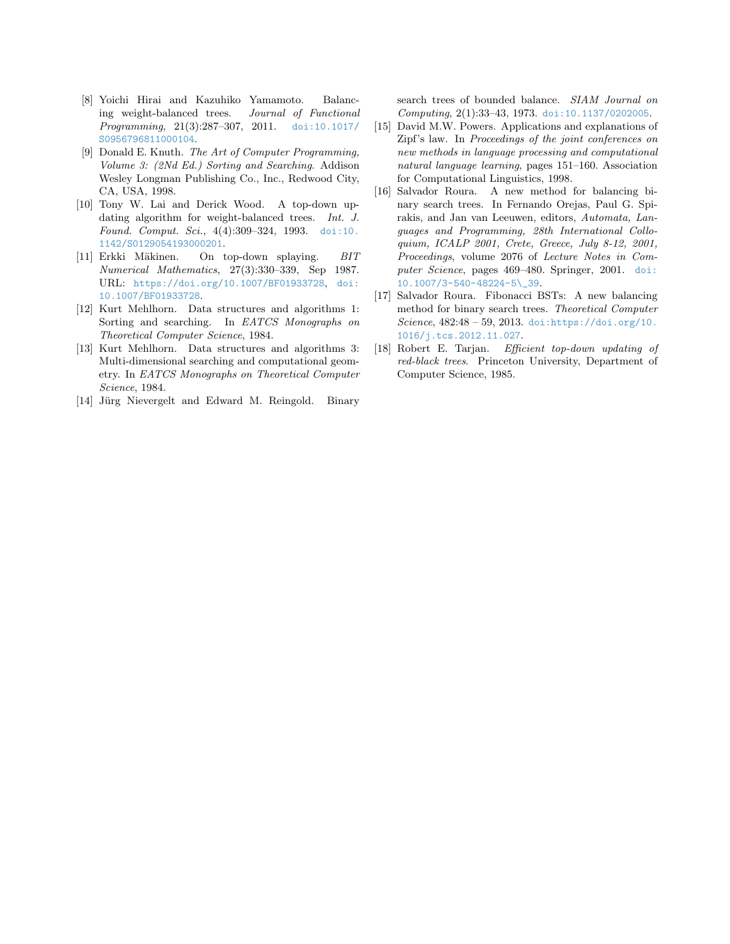- <span id="page-10-4"></span>[8] Yoichi Hirai and Kazuhiko Yamamoto. Balancing weight-balanced trees. Journal of Functional Programming, 21(3):287–307, 2011. [doi:10.1017/](http://dx.doi.org/10.1017/S0956796811000104) [S0956796811000104](http://dx.doi.org/10.1017/S0956796811000104).
- <span id="page-10-1"></span>[9] Donald E. Knuth. The Art of Computer Programming, Volume 3: (2Nd Ed.) Sorting and Searching. Addison Wesley Longman Publishing Co., Inc., Redwood City, CA, USA, 1998.
- <span id="page-10-8"></span>[10] Tony W. Lai and Derick Wood. A top-down updating algorithm for weight-balanced trees. Int. J. Found. Comput. Sci., 4(4):309–324, 1993. [doi:10.](http://dx.doi.org/10.1142/S0129054193000201) [1142/S0129054193000201](http://dx.doi.org/10.1142/S0129054193000201).
- <span id="page-10-10"></span>[11] Erkki Mäkinen. On top-down splaying. BIT Numerical Mathematics, 27(3):330–339, Sep 1987. URL: <https://doi.org/10.1007/BF01933728>, [doi:](http://dx.doi.org/10.1007/BF01933728) [10.1007/BF01933728](http://dx.doi.org/10.1007/BF01933728).
- <span id="page-10-2"></span>[12] Kurt Mehlhorn. Data structures and algorithms 1: Sorting and searching. In EATCS Monographs on Theoretical Computer Science, 1984.
- <span id="page-10-3"></span>[13] Kurt Mehlhorn. Data structures and algorithms 3: Multi-dimensional searching and computational geometry. In EATCS Monographs on Theoretical Computer Science, 1984.
- <span id="page-10-0"></span>[14] Jürg Nievergelt and Edward M. Reingold. Binary

search trees of bounded balance. SIAM Journal on Computing, 2(1):33–43, 1973. [doi:10.1137/0202005](http://dx.doi.org/10.1137/0202005).

- <span id="page-10-9"></span>[15] David M.W. Powers. Applications and explanations of Zipf's law. In Proceedings of the joint conferences on new methods in language processing and computational natural language learning, pages 151–160. Association for Computational Linguistics, 1998.
- <span id="page-10-5"></span>[16] Salvador Roura. A new method for balancing binary search trees. In Fernando Orejas, Paul G. Spirakis, and Jan van Leeuwen, editors, Automata, Languages and Programming, 28th International Colloquium, ICALP 2001, Crete, Greece, July 8-12, 2001, Proceedings, volume 2076 of Lecture Notes in Computer Science, pages 469–480. Springer, 2001. [doi:](http://dx.doi.org/10.1007/3-540-48224-5_39) [10.1007/3-540-48224-5\\\_39](http://dx.doi.org/10.1007/3-540-48224-5_39).
- <span id="page-10-6"></span>[17] Salvador Roura. Fibonacci BSTs: A new balancing method for binary search trees. Theoretical Computer Science,  $482:48 - 59$ ,  $2013.$  [doi:https://doi.org/10.](http://dx.doi.org/https://doi.org/10.1016/j.tcs.2012.11.027) [1016/j.tcs.2012.11.027](http://dx.doi.org/https://doi.org/10.1016/j.tcs.2012.11.027).
- <span id="page-10-7"></span>[18] Robert E. Tarjan. Efficient top-down updating of red-black trees. Princeton University, Department of Computer Science, 1985.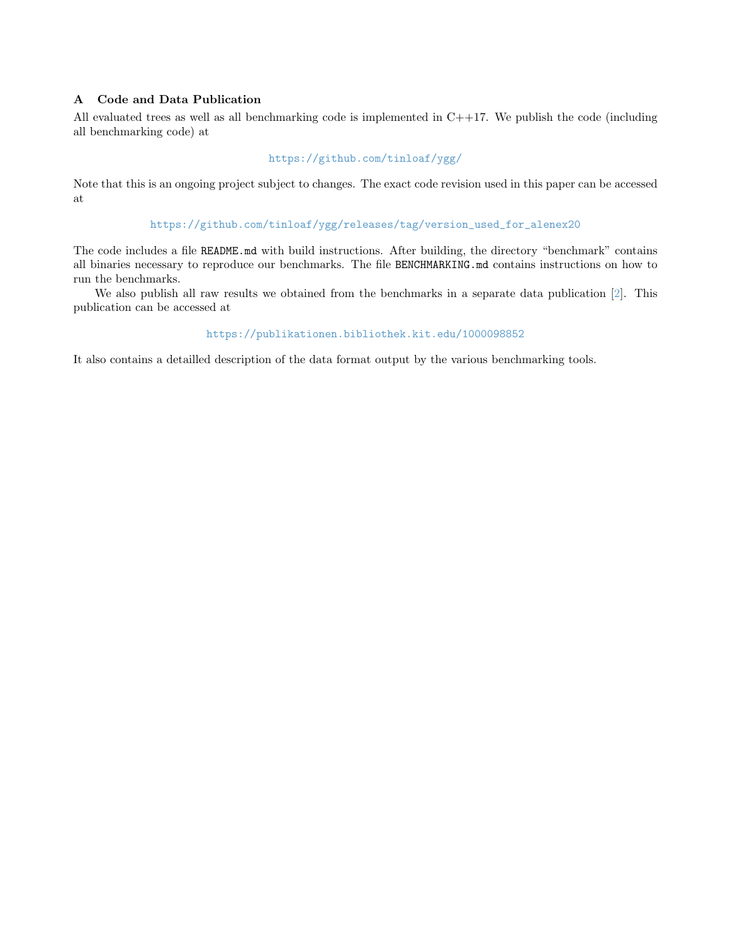# A Code and Data Publication

All evaluated trees as well as all benchmarking code is implemented in C++17. We publish the code (including all benchmarking code) at

# <https://github.com/tinloaf/ygg/>

Note that this is an ongoing project subject to changes. The exact code revision used in this paper can be accessed at

# [https://github.com/tinloaf/ygg/releases/tag/version\\_used\\_for\\_alenex20](https://github.com/tinloaf/ygg/releases/tag/version_used_for_alenex20)

The code includes a file README.md with build instructions. After building, the directory "benchmark" contains all binaries necessary to reproduce our benchmarks. The file BENCHMARKING.md contains instructions on how to run the benchmarks.

We also publish all raw results we obtained from the benchmarks in a separate data publication [\[2\]](#page-9-5). This publication can be accessed at

# <https://publikationen.bibliothek.kit.edu/1000098852>

It also contains a detailled description of the data format output by the various benchmarking tools.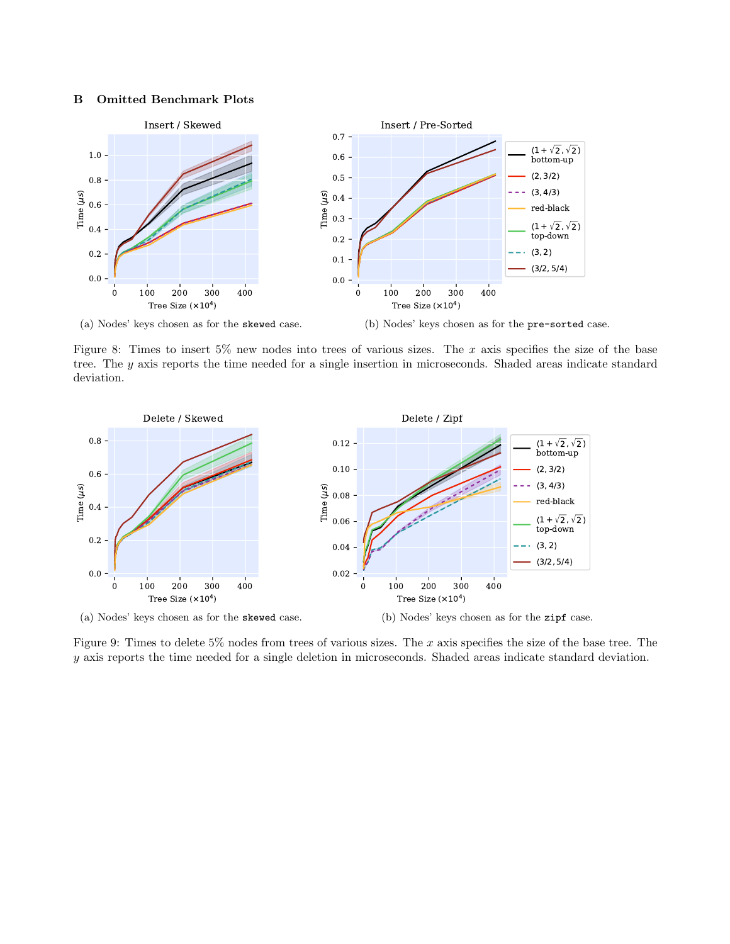#### B Omitted Benchmark Plots

<span id="page-12-0"></span>

Figure 8: Times to insert  $5\%$  new nodes into trees of various sizes. The x axis specifies the size of the base tree. The y axis reports the time needed for a single insertion in microseconds. Shaded areas indicate standard deviation.

<span id="page-12-1"></span>

Figure 9: Times to delete 5% nodes from trees of various sizes. The  $x$  axis specifies the size of the base tree. The y axis reports the time needed for a single deletion in microseconds. Shaded areas indicate standard deviation.